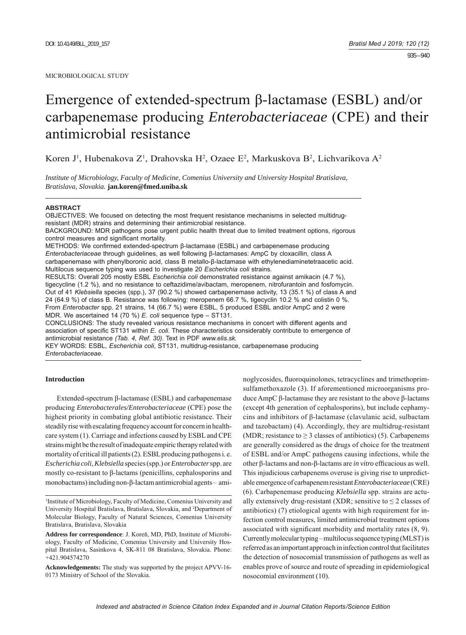# Emergence of extended-spectrum β-lactamase (ESBL) and/or carbapenemase producing *Enterobacteriaceae* (CPE) and their antimicrobial resistance

Koren J<sup>1</sup>, Hubenakova Z<sup>1</sup>, Drahovska H<sup>2</sup>, Ozaee E<sup>2</sup>, Markuskova B<sup>2</sup>, Lichvarikova A<sup>2</sup>

*Institute of Microbiology, Faculty of Medicine, Comenius University and University Hospital Bratislava, Bratislava, Slovakia.* **jan.koren@fmed.uniba.sk**

#### **ABSTRACT**

OBJECTIVES: We focused on detecting the most frequent resistance mechanisms in selected multidrugresistant (MDR) strains and determining their antimicrobial resistance. BACKGROUND: MDR pathogens pose urgent public health threat due to limited treatment options, rigorous control measures and significant mortality. METHODS: We confirmed extended-spectrum β-lactamase (ESBL) and carbapenemase producing *Enterobacteriaceae* through guidelines, as well following β-lactamases: AmpC by cloxacillin, class A carbapenemase with phenylboronic acid, class B metallo-β-lactamase with ethylenediaminetetraacetic acid. Multilocus sequence typing was used to investigate 20 *Escherichia coli* strains. RESULTS: Overall 205 mostly ESBL *Escherichia coli* demonstrated resistance against amikacin (4.7 %), tigecycline (1.2 %), and no resistance to ceftazidime/avibactam, meropenem, nitrofurantoin and fosfomycin. Out of 41 *Klebsiella* species (spp.), 37 (90.2 %) showed carbapenemase activity, 13 (35.1 %) of class A and 24 (64.9 %) of class B. Resistance was following: meropenem 66.7 %, tigecyclin 10.2 % and colistin 0 %. From *Enterobacter* spp. 21 strains, 14 (66.7 %) were ESBL, 5 produced ESBL and/or AmpC and 2 were MDR. We ascertained 14 (70 %) *E. coli* sequence type – ST131.

CONCLUSIONS: The study revealed various resistance mechanisms in concert with different agents and association of specific ST131 within *E. coli*. These characteristics considerably contribute to emergence of antimicrobial resistance *(Tab. 4, Ref. 30)*. Text in PDF *www.elis.sk.*

KEY WORDS: ESBL, *Escherichia coli*, ST131, multidrug-resistance, carbapenemase producing *Enterobacteriaceae*.

## **Introduction**

Extended-spectrum β-lactamase (ESBL) and carbapenemase producing *Enterobacterales/Enterobacteriaceae* (CPE) pose the highest priority in combating global antibiotic resistance. Their steadily rise with escalating frequency account for concern in healthcare system (1). Carriage and infections caused by ESBL and CPE strains might be the result of inadequate empiric therapy related with mortality of critical ill patients (2). ESBL producing pathogens i. e. *Escherichia coli, Klebsiella* species (spp.) or *Enterobacter* spp. are mostly co-resistant to β-lactams (penicillins, cephalosporins and monobactams) including non-β-lactam antimicrobial agents – ami-

1 Institute of Microbiology, Faculty of Medicine, Comenius University and University Hospital Bratislava, Bratislava, Slovakia, and 2 Department of Molecular Biology, Faculty of Natural Sciences, Comenius University Bratislava, Bratislava, Slovakia

**Address for correspondence**: J. Koreň, MD, PhD, Institute of Microbiology, Faculty of Medicine, Comenius University and University Hospital Bratislava, Sasinkova 4, SK-811 08 Bratislava, Slovakia. Phone: +421.904574270

**Acknowledgements:** The study was supported by the project APVV-16- 0173 Ministry of School of the Slovakia.

noglycosides, fluoroquinolones, tetracyclines and trimethoprimsulfamethoxazole (3). If aforementioned microorganisms produce AmpC β-lactamase they are resistant to the above β-lactams (except 4th generation of cephalosporins), but include cephamycins and inhibitors of β-lactamase (clavulanic acid, sulbactam and tazobactam) (4). Accordingly, they are multidrug-resistant (MDR; resistance to  $\geq$  3 classes of antibiotics) (5). Carbapenems are generally considered as the drugs of choice for the treatment of ESBL and/or AmpC pathogens causing infections, while the other β-lactams and non-β-lactams are *in vitro* efficacious as well. This injudicious carbapenems overuse is giving rise to unpredictable emergence of carbapenem resistant *Enterobacteriaceae* (CRE) (6). Carbapenemase producing *Klebsiella* spp. strains are actually extensively drug-resistant (XDR; sensitive to  $\leq 2$  classes of antibiotics) (7) etiological agents with high requirement for infection control measures, limited antimicrobial treatment options associated with significant morbidity and mortality rates  $(8, 9)$ . Currently molecular typing – multilocus sequence typing (MLST) is referred as an important approach in infection control that facilitates the detection of nosocomial transmission of pathogens as well as enables prove of source and route of spreading in epidemiological nosocomial environment (10).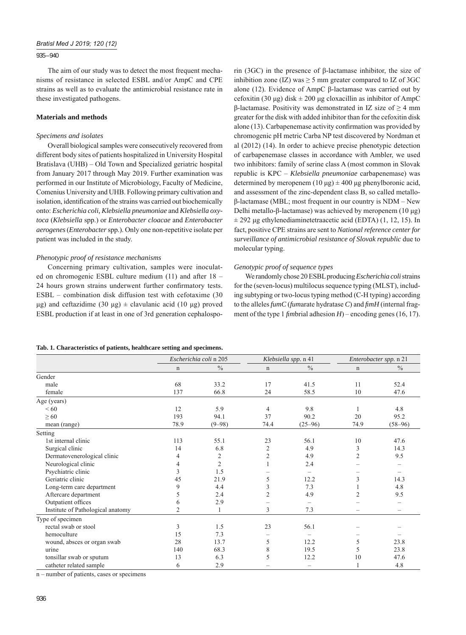#### 935 – 940

The aim of our study was to detect the most frequent mechanisms of resistance in selected ESBL and/or AmpC and CPE strains as well as to evaluate the antimicrobial resistance rate in these investigated pathogens.

#### **Materials and methods**

#### *Specimens and isolates*

Overall biological samples were consecutively recovered from different body sites of patients hospitalized in University Hospital Bratislava (UHB) – Old Town and Specialized geriatric hospital from January 2017 through May 2019. Further examination was performed in our Institute of Microbiology, Faculty of Medicine, Comenius University and UHB. Following primary cultivation and isolation, identification of the strains was carried out biochemically onto: *Escherichia coli, Klebsiella pneumoniae* and *Klebsiella oxytoca* (*Klebsiella* spp.) or *Enterobacter cloacae* and *Enterobacter aerogenes* (*Enterobacter* spp.). Only one non-repetitive isolate per patient was included in the study.

#### *Phenotypic proof of resistance mechanisms*

Concerning primary cultivation, samples were inoculated on chromogenic ESBL culture medium (11) and after 18 – 24 hours grown strains underwent further confirmatory tests. ESBL – combination disk diffusion test with cefotaxime (30 μg) and ceftazidime (30 μg)  $\pm$  clavulanic acid (10 μg) proved ESBL production if at least in one of 3rd generation cephalosporin (3GC) in the presence of β-lactamase inhibitor, the size of inhibition zone (IZ) was  $\geq$  5 mm greater compared to IZ of 3GC alone (12). Evidence of AmpC β-lactamase was carried out by cefoxitin (30 μg) disk ± 200 μg cloxacillin as inhibitor of AmpC β-lactamase. Positivity was demonstrated in IZ size of ≥ 4 mm greater for the disk with added inhibitor than for the cefoxitin disk alone  $(13)$ . Carbapenemase activity confirmation was provided by chromogenic pH metric Carba NP test discovered by Nordman et al (2012) (14). In order to achieve precise phenotypic detection of carbapenemase classes in accordance with Ambler, we used two inhibitors: family of serine class A (most common in Slovak republic is KPC – *Klebsiella pneumoniae* carbapenemase) was determined by meropenem (10 μg)  $\pm$  400 μg phenylboronic acid, and assessment of the zinc-dependent class B, so called metalloβ-lactamase (MBL; most frequent in our country is NDM – New Delhi metallo-β-lactamase) was achieved by meropenem (10 μg)  $\pm$  292 μg ethylenediaminetetraacetic acid (EDTA) (1, 12, 15). In fact, positive CPE strains are sent to *National reference center for surveillance of antimicrobial resistance of Slovak republic* due to molecular typing.

## *Genotypic proof of sequence types*

We randomly chose 20 ESBL producing *Escherichia coli* strains for the (seven-locus) multilocus sequence typing (MLST), including subtyping or two-locus typing method (C-H typing) according to the alleles  $\lim_{m \to \infty} C$  (*fumarate hydratase C*) and  $\lim_{m \to \infty} H$  (internal fragment of the type 1  $f_{\text{imb}}$  *finident* adhesion  $H$ ) – encoding genes (16, 17).

#### **Tab. 1. Characteristics of patients, healthcare setting and specimens.**

|                                   |                | Escherichia coli n 205 |                | Klebsiella spp. n 41 | Enterobacter spp. n 21 |               |  |
|-----------------------------------|----------------|------------------------|----------------|----------------------|------------------------|---------------|--|
|                                   | $\mathbf n$    | $\frac{0}{0}$          | $\mathbf n$    | $\frac{0}{0}$        | $\mathbf n$            | $\frac{0}{0}$ |  |
| Gender                            |                |                        |                |                      |                        |               |  |
| male                              | 68             | 33.2                   | 17             | 41.5                 | 11                     | 52.4          |  |
| female                            | 137            | 66.8                   | 24             | 58.5                 | 10                     | 47.6          |  |
| Age (years)                       |                |                        |                |                      |                        |               |  |
| <60                               | 12             | 5.9                    | 4              | 9.8                  |                        | 4.8           |  |
| $\geq 60$                         | 193            | 94.1                   | 37             | 90.2                 | 20                     | 95.2          |  |
| mean (range)                      | 78.9           | $(9 - 98)$             | 74.4           | $(25 - 96)$          | 74.9                   | $(58-96)$     |  |
| Setting                           |                |                        |                |                      |                        |               |  |
| 1st internal clinic               | 113            | 55.1                   | 23             | 56.1                 | 10                     | 47.6          |  |
| Surgical clinic                   | 14             | 6.8                    | $\overline{c}$ | 4.9                  | 3                      | 14.3          |  |
| Dermatovenerological clinic       | 4              | 2                      | $\overline{c}$ | 4.9                  | $\overline{c}$         | 9.5           |  |
| Neurological clinic               | 4              | $\overline{2}$         |                | 2.4                  |                        |               |  |
| Psychiatric clinic                | 3              | 1.5                    |                |                      |                        |               |  |
| Geriatric clinic                  | 45             | 21.9                   | 5              | 12.2                 | 3                      | 14.3          |  |
| Long-term care department         | 9              | 4.4                    | 3              | 7.3                  |                        | 4.8           |  |
| Aftercare department              | 5              | 2.4                    | 2              | 4.9                  | 2                      | 9.5           |  |
| Outpatient offices                | 6              | 2.9                    |                |                      |                        |               |  |
| Institute of Pathological anatomy | $\overline{2}$ |                        | 3              | 7.3                  |                        |               |  |
| Type of specimen                  |                |                        |                |                      |                        |               |  |
| rectal swab or stool              | 3              | 1.5                    | 23             | 56.1                 |                        |               |  |
| hemoculture                       | 15             | 7.3                    |                |                      |                        |               |  |
| wound, absces or organ swab       | 28             | 13.7                   | 5              | 12.2                 | 5                      | 23.8          |  |
| urine                             | 140            | 68.3                   | 8              | 19.5                 | 5                      | 23.8          |  |
| tonsillar swab or sputum          | 13             | 6.3                    | 5              | 12.2                 | 10                     | 47.6          |  |
| catheter related sample           | 6              | 2.9                    |                |                      |                        | 4.8           |  |

n – number of patients, cases or specimens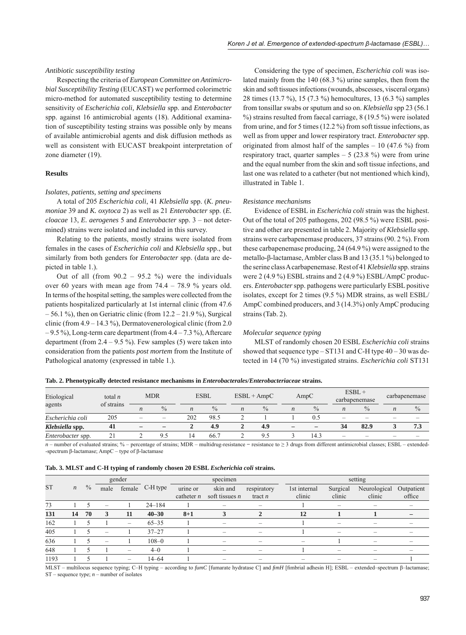## *Antibiotic susceptibility testing*

Respecting the criteria of *European Committee on Antimicrobial Susceptibility Testing* (EUCAST) we performed colorimetric micro-method for automated susceptibility testing to determine sensitivity of *Escherichia coli, Klebsiella* spp. and *Enterobacter* spp. against 16 antimicrobial agents (18). Additional examination of susceptibility testing strains was possible only by means of available antimicrobial agents and disk diffusion methods as well as consistent with EUCAST breakpoint interpretation of zone diameter (19).

#### **Results**

#### *Isolates, patients, setting and specimens*

A total of 205 *Escherichia coli*, 41 *Klebsiella* spp. (*K. pneumoniae* 39 and *K. oxytoca* 2) as well as 21 *Enterobacter* spp. (*E. cloacae* 13, *E. aerogenes* 5 and *Enterobacter* spp. 3 – not determined) strains were isolated and included in this survey.

Relating to the patients, mostly strains were isolated from females in the cases of *Escherichia coli* and *Klebsiella* spp., but similarly from both genders for *Enterobacter* spp. (data are depicted in table 1.).

Out of all (from  $90.2 - 95.2$  %) were the individuals over 60 years with mean age from 74.4 – 78.9 % years old. In terms of the hospital setting, the samples were collected from the patients hospitalized particularly at 1st internal clinic (from 47.6  $-56.1\%$ ), then on Geriatric clinic (from  $12.2 - 21.9\%$ ), Surgical clinic (from 4.9 – 14.3 %), Dermatovenerological clinic (from 2.0  $-9.5\%$ ), Long-term care department (from  $4.4 - 7.3\%$ ), Aftercare department (from  $2.4 - 9.5$  %). Few samples (5) were taken into consideration from the patients *post mortem* from the Institute of Pathological anatomy (expressed in table 1.).

Considering the type of specimen, *Escherichia coli* was isolated mainly from the 140 (68.3 %) urine samples, then from the skin and soft tissues infections (wounds, abscesses, visceral organs) 28 times (13.7 %), 15 (7.3 %) hemocultures, 13 (6.3 %) samples from tonsillar swabs or sputum and so on. *Klebsiella* spp 23 (56.1 %) strains resulted from faecal carriage, 8 (19.5 %) were isolated from urine, and for 5 times (12.2 %) from soft tissue infections, as well as from upper and lower respiratory tract. *Enterobacter* spp. originated from almost half of the samples  $-10(47.6\%)$  from respiratory tract, quarter samples  $-5$  (23.8 %) were from urine and the equal number from the skin and soft tissue infections, and last one was related to a catheter (but not mentioned which kind), illustrated in Table 1.

## *Resistance mechanisms*

Evidence of ESBL in *Escherichia coli* strain was the highest. Out of the total of 205 pathogens, 202 (98.5 %) were ESBL positive and other are presented in table 2. Majority of *Klebsiella* spp. strains were carbapenemase producers, 37 strains (90. 2 %). From these carbapenemase producing, 24 (64.9 %) were assigned to the metallo-β-lactamase, Ambler class B and 13 (35.1 %) belonged to the serine class A carbapenemase. Rest of 41 *Klebsiella* spp. strains were 2 (4.9 %) ESBL strains and 2 (4.9 %) ESBL/AmpC producers. *Enterobacter* spp. pathogens were particularly ESBL positive isolates, except for 2 times (9.5 %) MDR strains, as well ESBL/ AmpC combined producers, and 3 (14.3%) only AmpC producing strains (Tab. 2).

#### *Molecular sequence typing*

MLST of randomly chosen 20 ESBL *Escherichia coli* strains showed that sequence type –  $ST131$  and C-H type  $40 - 30$  was detected in 14 (70 %) investigated strains. *Escherichia coli* ST131

|  | Tab. 2. Phenotypically detected resistance mechanisms in <i>Enterobacterales/Enterobacteriaceae</i> strains. |  |  |  |  |  |  |  |  |  |  |
|--|--------------------------------------------------------------------------------------------------------------|--|--|--|--|--|--|--|--|--|--|
|--|--------------------------------------------------------------------------------------------------------------|--|--|--|--|--|--|--|--|--|--|

| Etiological              | total $n$<br>of strains |                                   | <b>MDR</b>               | <b>ESBL</b>      |               | $ESBL + AmpC$    |               | AmpC                     |               | $ESBL +$<br>carbapenemase |                          | carbapenemase            |               |
|--------------------------|-------------------------|-----------------------------------|--------------------------|------------------|---------------|------------------|---------------|--------------------------|---------------|---------------------------|--------------------------|--------------------------|---------------|
| agents                   |                         | $\frac{0}{0}$<br>$\boldsymbol{n}$ |                          | $\boldsymbol{n}$ | $\frac{0}{0}$ | $\boldsymbol{n}$ | $\frac{0}{0}$ | $\boldsymbol{n}$         | $\frac{0}{0}$ | $\boldsymbol{n}$          | $\frac{0}{0}$            | $\boldsymbol{n}$         | $\frac{0}{0}$ |
| Escherichia coli         | 205                     | $\overline{\phantom{0}}$          | $\overline{\phantom{a}}$ | 202              | 98.5          |                  |               |                          | 0.5           | $\overline{\phantom{0}}$  | -                        | $\overline{\phantom{a}}$ |               |
| Klebsiella spp.          | 41                      |                                   |                          |                  | 4.9           |                  | 4.9           | $\overline{\phantom{m}}$ |               | 34                        | 82.9                     |                          | 7.3           |
| <i>Enterobacter</i> spp. |                         |                                   |                          | 14               | 66.7          |                  |               |                          | 14.3          | -                         | $\overline{\phantom{a}}$ | _                        |               |

 $n$  – number of evaluated strains; % – percentage of strains; MDR – multidrug-resistance – resistance to  $\geq$  3 drugs from different antimicrobial classes; ESBL – extended--spectrum β-lactamase; AmpC – type of β-lactamase

|  |  |  | Tab. 3. MLST and C-H typing of randomly chosen 20 ESBL <i>Escherichia coli</i> strains. |  |  |  |  |
|--|--|--|-----------------------------------------------------------------------------------------|--|--|--|--|
|  |  |  |                                                                                         |  |  |  |  |

|           |                  |               |                 | gender                   |            |              | specimen                 |                          |                 | setting                  |              |            |  |  |  |
|-----------|------------------|---------------|-----------------|--------------------------|------------|--------------|--------------------------|--------------------------|-----------------|--------------------------|--------------|------------|--|--|--|
| <b>ST</b> | $\boldsymbol{n}$ | $\frac{0}{0}$ | male            | female                   | C-H type   | urine or     | skin and                 | respiratory              | 1st internal    | Surgical                 | Neurological | Outpatient |  |  |  |
|           |                  |               |                 |                          |            | catheter $n$ | soft tissues $n$         | tract $n$                | clinic          | clinic                   | clinic       | office     |  |  |  |
| 73        |                  |               |                 |                          | $24 - 184$ |              | -                        |                          |                 |                          |              |            |  |  |  |
| 131       | 14               | 70            | 3               | 11                       | $40 - 30$  | $8 + 1$      |                          | 2                        | 12              |                          |              |            |  |  |  |
| 162       |                  |               |                 | $\overline{\phantom{m}}$ | $65 - 35$  |              | $\overline{\phantom{0}}$ | $\overline{\phantom{0}}$ |                 | $\overline{\phantom{0}}$ |              |            |  |  |  |
| 405       |                  |               |                 |                          | $37 - 27$  |              | $\overline{\phantom{m}}$ | $\overline{\phantom{0}}$ |                 | $\overline{\phantom{0}}$ |              |            |  |  |  |
| 636       |                  |               | $\qquad \qquad$ |                          | $108 - 0$  |              | $\overline{\phantom{m}}$ | -                        | $\qquad \qquad$ |                          | -            |            |  |  |  |
| 648       |                  |               |                 | $\qquad \qquad$          | $4 - 0$    |              | -                        |                          |                 |                          |              |            |  |  |  |
| 1193      |                  |               |                 | $\qquad \qquad$          | $14 - 64$  |              |                          |                          |                 |                          |              |            |  |  |  |

MLST – multilocus sequence typing; C–H typing – according to *fumC* [fumarate hydratase C] and *fimH* [fimbrial adhesin H]; ESBL – extended–spectrum β–lactamase;  $ST$  – sequence type;  $n$  – number of isolates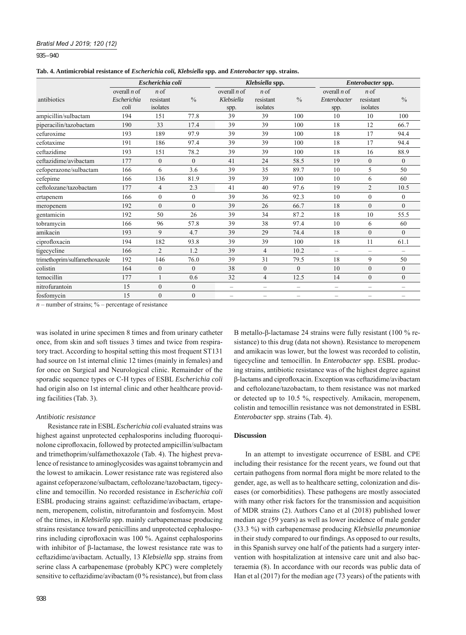## *Bratisl Med J 2019; 120 (12)*

935 – 940

**Tab. 4. Antimicrobial resistance of** *Escherichia coli, Klebsiella* **spp. and** *Enterobacter* **spp. strains.**

|                               |                                       | Escherichia coli                     |                |                                      | Klebsiella spp.                      |                          | Enterobacter spp.                      |                                      |                          |  |
|-------------------------------|---------------------------------------|--------------------------------------|----------------|--------------------------------------|--------------------------------------|--------------------------|----------------------------------------|--------------------------------------|--------------------------|--|
| antibiotics                   | overall $n$ of<br>Escherichia<br>coli | $n \circ f$<br>resistant<br>isolates | $\frac{0}{0}$  | overall $n$ of<br>Klebsiella<br>spp. | $n \circ f$<br>resistant<br>isolates | $\frac{0}{0}$            | overall $n$ of<br>Enterobacter<br>spp. | $n \circ f$<br>resistant<br>isolates | $\frac{0}{0}$            |  |
| ampicillin/sulbactam          | 194                                   | 151                                  | 77.8           | 39                                   | 39                                   | 100                      | 10                                     | 10                                   | 100                      |  |
| piperacilin/tazobactam        | 190                                   | 33                                   | 17.4           | 39                                   | 39                                   | 100                      | 18                                     | 12                                   | 66.7                     |  |
| cefuroxime                    | 193                                   | 189                                  | 97.9           | 39                                   | 39                                   | 100                      | 18                                     | 17                                   | 94.4                     |  |
| cefotaxime                    | 191                                   | 186                                  | 97.4           | 39                                   | 39                                   | 100                      | 18                                     | 17                                   | 94.4                     |  |
| ceftazidime                   | 193                                   | 151                                  | 78.2           | 39                                   | 39                                   | 100                      | 18                                     | 16                                   | 88.9                     |  |
| ceftazidime/avibactam         | 177                                   | $\mathbf{0}$                         | $\theta$       | 41                                   | 24                                   | 58.5                     | 19                                     | $\overline{0}$                       | $\mathbf{0}$             |  |
| cefoperazone/sulbactam        | 166                                   | 6                                    | 3.6            | 39                                   | 35                                   | 89.7                     | 10                                     | 5                                    | 50                       |  |
| cefepime                      | 166                                   | 136                                  | 81.9           | 39                                   | 39                                   | 100                      | 10                                     | 6                                    | 60                       |  |
| ceftolozane/tazobactam        | 177                                   | $\overline{4}$                       | 2.3            | 41                                   | 40                                   | 97.6                     | 19                                     | $\overline{2}$                       | 10.5                     |  |
| ertapenem                     | 166                                   | $\mathbf{0}$                         | $\mathbf{0}$   | 39                                   | 36                                   | 92.3                     | 10                                     | $\Omega$                             | $\mathbf{0}$             |  |
| meropenem                     | 192                                   | $\mathbf{0}$                         | $\theta$       | 39                                   | 26                                   | 66.7                     | 18                                     | $\theta$                             | $\theta$                 |  |
| gentamicin                    | 192                                   | 50                                   | 26             | 39                                   | 34                                   | 87.2                     | 18                                     | 10                                   | 55.5                     |  |
| tobramycin                    | 166                                   | 96                                   | 57.8           | 39                                   | 38                                   | 97.4                     | 10                                     | 6                                    | 60                       |  |
| amikacin                      | 193                                   | 9                                    | 4.7            | 39                                   | 29                                   | 74.4                     | 18                                     | $\overline{0}$                       | $\mathbf{0}$             |  |
| ciprofloxacin                 | 194                                   | 182                                  | 93.8           | 39                                   | 39                                   | 100                      | 18                                     | 11                                   | 61.1                     |  |
| tigecycline                   | 166                                   | $\overline{2}$                       | 1.2            | 39                                   | $\overline{4}$                       | 10.2                     | $\overline{\phantom{0}}$               | $\overline{\phantom{0}}$             | $\overline{\phantom{m}}$ |  |
| trimethoprim/sulfamethoxazole | 192                                   | 146                                  | 76.0           | 39                                   | 31                                   | 79.5                     | 18                                     | 9                                    | 50                       |  |
| colistin                      | 164                                   | $\mathbf{0}$                         | $\theta$       | 38                                   | $\theta$                             | $\theta$                 | 10                                     | $\theta$                             | $\theta$                 |  |
| temocillin                    | 177                                   |                                      | 0.6            | 32                                   | 4                                    | 12.5                     | 14                                     | $\overline{0}$                       | $\mathbf{0}$             |  |
| nitrofurantoin                | 15                                    | $\mathbf{0}$                         | $\overline{0}$ | $\overline{\phantom{0}}$             | $\overline{\phantom{0}}$             | $\overline{\phantom{0}}$ | $\overline{\phantom{0}}$               | $\overline{\phantom{0}}$             | $\overline{\phantom{0}}$ |  |
| fosfomycin                    | 15                                    | $\mathbf{0}$                         | $\overline{0}$ | $\overline{\phantom{0}}$             | $\overline{\phantom{0}}$             | $\qquad \qquad -$        | -                                      | $\overline{\phantom{0}}$             | $\overline{\phantom{0}}$ |  |

 $n$  – number of strains;  $\%$  – percentage of resistance

was isolated in urine specimen 8 times and from urinary catheter once, from skin and soft tissues 3 times and twice from respiratory tract. According to hospital setting this most frequent ST131 had source on 1st internal clinic 12 times (mainly in females) and for once on Surgical and Neurological clinic. Remainder of the sporadic sequence types or C-H types of ESBL *Escherichia coli* had origin also on 1st internal clinic and other healthcare providing facilities (Tab. 3).

#### *Antibiotic resistance*

Resistance rate in ESBL *Escherichia coli* evaluated strains was highest against unprotected cephalosporins including fluoroquinolone ciprofloxacin, followed by protected ampicillin/sulbactam and trimethoprim/sulfamethoxazole (Tab. 4). The highest prevalence of resistance to aminoglycosides was against tobramycin and the lowest to amikacin. Lower resistance rate was registered also against cefoperazone/sulbactam, ceftolozane/tazobactam, tigecycline and temocillin. No recorded resistance in *Escherichia coli* ESBL producing strains against: ceftazidime/avibactam, ertapenem, meropenem, colistin, nitrofurantoin and fosfomycin. Most of the times, in *Klebsiella* spp. mainly carbapenemase producing strains resistance toward penicillins and unprotected cephalosporins including ciprofloxacin was 100 %. Against cephalosporins with inhibitor of β-lactamase, the lowest resistance rate was to ceftazidime/avibactam. Actually, 13 *Klebsiella* spp. strains from serine class A carbapenemase (probably KPC) were completely sensitive to ceftazidime/avibactam (0 % resistance), but from class B metallo-β-lactamase 24 strains were fully resistant (100 % resistance) to this drug (data not shown). Resistance to meropenem and amikacin was lower, but the lowest was recorded to colistin, tigecycline and temocillin. In *Enterobacter* spp. ESBL producing strains, antibiotic resistance was of the highest degree against β-lactams and ciprofl oxacin. Exception was ceftazidime/avibactam and ceftolozane/tazobactam, to them resistance was not marked or detected up to 10.5 %, respectively. Amikacin, meropenem, colistin and temocillin resistance was not demonstrated in ESBL *Enterobacter* spp. strains (Tab. 4).

## **Discussion**

In an attempt to investigate occurrence of ESBL and CPE including their resistance for the recent years, we found out that certain pathogens from normal flora might be more related to the gender, age, as well as to healthcare setting, colonization and diseases (or comorbidities). These pathogens are mostly associated with many other risk factors for the transmission and acquisition of MDR strains (2). Authors Cano et al (2018) published lower median age (59 years) as well as lower incidence of male gender (33.3 %) with carbapenemase producing *Klebsiella pneumoniae*  in their study compared to our findings. As opposed to our results, in this Spanish survey one half of the patients had a surgery intervention with hospitalization at intensive care unit and also bacteraemia (8). In accordance with our records was public data of Han et al (2017) for the median age (73 years) of the patients with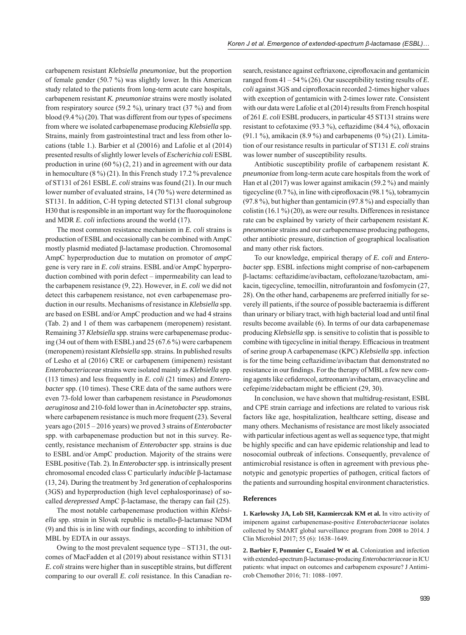carbapenem resistant *Klebsiella pneumoniae*, but the proportion of female gender (50.7 %) was slightly lower. In this American study related to the patients from long-term acute care hospitals, carbapenem resistant *K. pneumoniae* strains were mostly isolated from respiratory source (59.2 %), urinary tract (37 %) and from blood (9.4 %) (20). That was different from our types of specimens from where we isolated carbapenemase producing *Klebsiella* spp. Strains, mainly from gastrointestinal tract and less from other locations (table 1.). Barbier et al (20016) and Lafolie et al (2014) presented results of slightly lower levels of *Escherichia coli* ESBL production in urine  $(60\%)$   $(2, 21)$  and in agreement with our data in hemoculture (8 %) (21). In this French study 17.2 % prevalence of ST131 of 261 ESBL *E. coli* strains was found (21). In our much lower number of evaluated strains, 14 (70 %) were determined as ST131. In addition, C-H typing detected ST131 clonal subgroup H30 that is responsible in an important way for the fluoroquinolone and MDR *E. coli* infections around the world (17).

The most common resistance mechanism in *E. coli* strains is production of ESBL and occasionally can be combined with AmpC mostly plasmid mediated β-lactamase production. Chromosomal AmpC hyperproduction due to mutation on promotor of *ampC*  gene is very rare in *E. coli* strains. ESBL and/or AmpC hyperproduction combined with porin defect – impermeability can lead to the carbapenem resistance (9, 22). However, in *E. coli* we did not detect this carbapenem resistance, not even carbapenemase production in our results. Mechanisms of resistance in *Klebsiella* spp. are based on ESBL and/or AmpC production and we had 4 strains (Tab. 2) and 1 of them was carbapenem (meropenem) resistant. Remaining 37 *Klebsiella* spp. strains were carbapenemase producing (34 out of them with ESBL) and 25 (67.6 %) were carbapenem (meropenem) resistant *Klebsiella* spp. strains. In published results of Lesho et al (2016) CRE or carbapenem (imipenem) resistant *Enterobacteriaceae* strains were isolated mainly as *Klebsiella* spp. (113 times) and less frequently in *E. coli* (21 times) and *Enterobacter* spp. (10 times). These CRE data of the same authors were even 73-fold lower than carbapenem resistance in *Pseudomonas aeruginosa* and 210-fold lower than in *Acinetobacter* spp. strains, where carbapenem resistance is much more frequent (23). Several years ago (2015 – 2016 years) we proved 3 strains of *Enterobacter* spp. with carbapenemase production but not in this survey. Recently, resistance mechanism of *Enterobacter* spp. strains is due to ESBL and/or AmpC production. Majority of the strains were ESBL positive (Tab. 2). In *Enterobacter* spp. is intrinsically present chromosomal encoded class C particularly *inducible* β-lactamase (13, 24). During the treatment by 3rd generation of cephalosporins (3GS) and hyperproduction (high level cephalosporinase) of socalled *derepressed* AmpC β-lactamase, the therapy can fail (25).

The most notable carbapenemase production within *Klebsiella* spp. strain in Slovak republic is metallo-β-lactamase NDM  $(9)$  and this is in line with our findings, according to inhibition of MBL by EDTA in our assays.

Owing to the most prevalent sequence type – ST131, the outcomes of MacFadden et al (2019) about resistance within ST131 *E. coli* strains were higher than in susceptible strains, but different comparing to our overall *E. coli* resistance. In this Canadian re-

search, resistance against ceftriaxone, ciprofloxacin and gentamicin ranged from 41 – 54 % (26). Our susceptibility testing results of *E. coli* against 3GS and ciprofloxacin recorded 2-times higher values with exception of gentamicin with 2-times lower rate. Consistent with our data were Lafolie et al (2014) results from French hospital of 261 *E. coli* ESBL producers, in particular 45 ST131 strains were resistant to cefotaxime (93.3 %), ceftazidime (84.4 %), ofloxacin (91.1 %), amikacin (8.9 %) and carbapenems (0 %) (21). Limitation of our resistance results in particular of ST131 *E. coli* strains was lower number of susceptibility results.

Antibiotic susceptibility profile of carbapenem resistant *K*. *pneumoniae* from long-term acute care hospitals from the work of Han et al (2017) was lower against amikacin (59.2 %) and mainly tigecycline  $(0.7\%)$ , in line with ciprofloxacin  $(98.1\%)$ , tobramycin (97.8 %), but higher than gentamicin (97.8 %) and especially than colistin  $(16.1\%)$  (20), as were our results. Differences in resistance rate can be explained by variety of their carbapenem resistant *K. pneumoniae* strains and our carbapenemase producing pathogens, other antibiotic pressure, distinction of geographical localisation and many other risk factors.

To our knowledge, empirical therapy of *E. coli* and *Enterobacter* spp. ESBL infections might comprise of non-carbapenem β-lactams: ceftazidime/avibactam, ceftolozane/tazobactam, amikacin, tigecycline, temocillin, nitrofurantoin and fosfomycin (27, 28). On the other hand, carbapenems are preferred initially for severely ill patients, if the source of possible bacteraemia is different than urinary or biliary tract, with high bacterial load and until final results become available (6). In terms of our data carbapenemase producing *Klebsiella* spp. is sensitive to colistin that is possible to combine with tigecycline in initial therapy. Efficacious in treatment of serine group A carbapenemase (KPC) *Klebsiella* spp. infection is for the time being ceftazidime/avibactam that demonstrated no resistance in our findings. For the therapy of MBL a few new coming agents like cefiderocol, aztreonam/avibactam, eravacycline and cefepime/zidebactam might be efficient  $(29, 30)$ .

In conclusion, we have shown that multidrug-resistant, ESBL and CPE strain carriage and infections are related to various risk factors like age, hospitalization, healthcare setting, disease and many others. Mechanisms of resistance are most likely associated with particular infectious agent as well as sequence type, that might be highly specific and can have epidemic relationship and lead to nosocomial outbreak of infections. Consequently, prevalence of antimicrobial resistance is often in agreement with previous phenotypic and genotypic properties of pathogen, critical factors of the patients and surrounding hospital environment characteristics.

## **References**

**1. Karlowsky JA, Lob SH, Kazmierczak KM et al.** In vitro activity of imipenem against carbapenemase-positive *Enterobacteriaceae* isolates collected by SMART global surveillance program from 2008 to 2014. J Clin Microbiol 2017; 55 (6): 1638–1649.

**2. Barbier F, Pommier C, Essaied W et al.** Colonization and infection with extended-spectrum β-lactamase-producing *Enterobacteriaceae* in ICU patients: what impact on outcomes and carbapenem exposure? J Antimicrob Chemother 2016; 71: 1088–1097.